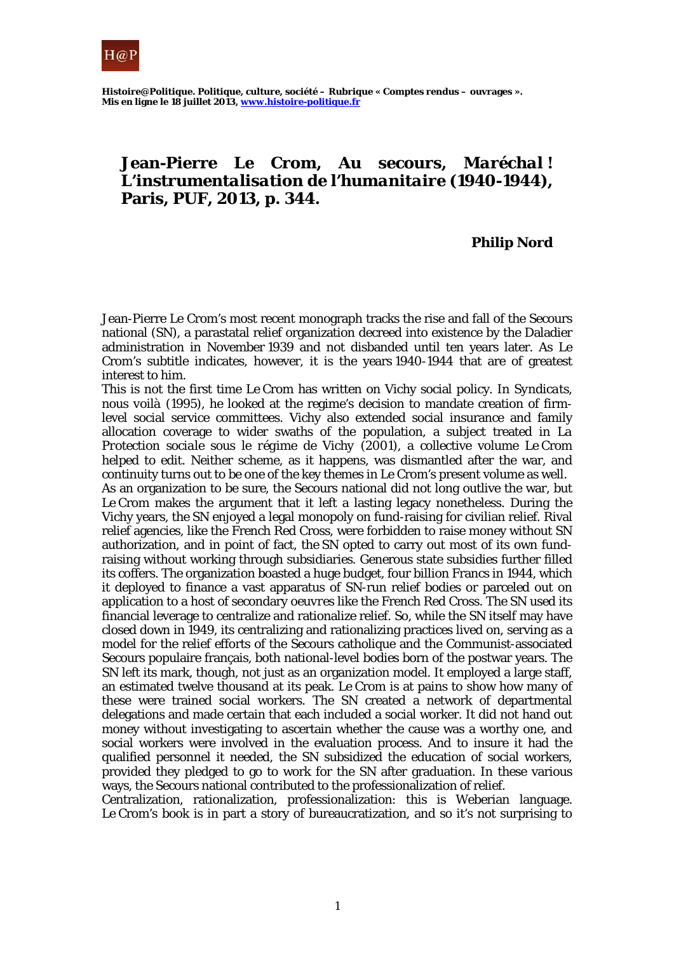

## **Jean-Pierre Le Crom,** *Au secours, Maréchal ! L'instrumentalisation de l'humanitaire (1940-1944)***, Paris, PUF, 2013, p. 344.**

## **Philip Nord**

Jean-Pierre Le Crom's most recent monograph tracks the rise and fall of the Secours national (SN), a parastatal relief organization decreed into existence by the Daladier administration in November 1939 and not disbanded until ten years later. As Le Crom's subtitle indicates, however, it is the years 1940-1944 that are of greatest interest to him.

This is not the first time Le Crom has written on Vichy social policy. In *Syndicats, nous voilà* (1995), he looked at the regime's decision to mandate creation of firmlevel social service committees. Vichy also extended social insurance and family allocation coverage to wider swaths of the population, a subject treated in *La Protection sociale sous le régime de Vichy* (2001), a collective volume Le Crom helped to edit. Neither scheme, as it happens, was dismantled after the war, and continuity turns out to be one of the key themes in Le Crom's present volume as well.

As an organization to be sure, the Secours national did not long outlive the war, but Le Crom makes the argument that it left a lasting legacy nonetheless. During the Vichy years, the SN enjoyed a legal monopoly on fund-raising for civilian relief. Rival relief agencies, like the French Red Cross, were forbidden to raise money without SN authorization, and in point of fact, the SN opted to carry out most of its own fundraising without working through subsidiaries. Generous state subsidies further filled its coffers. The organization boasted a huge budget, four billion Francs in 1944, which it deployed to finance a vast apparatus of SN-run relief bodies or parceled out on application to a host of secondary *oeuvres* like the French Red Cross. The SN used its financial leverage to centralize and rationalize relief. So, while the SN itself may have closed down in 1949, its centralizing and rationalizing practices lived on, serving as a model for the relief efforts of the Secours catholique and the Communist-associated Secours populaire français, both national-level bodies born of the postwar years. The SN left its mark, though, not just as an organization model. It employed a large staff, an estimated twelve thousand at its peak. Le Crom is at pains to show how many of these were trained social workers. The SN created a network of departmental delegations and made certain that each included a social worker. It did not hand out money without investigating to ascertain whether the cause was a worthy one, and social workers were involved in the evaluation process. And to insure it had the qualified personnel it needed, the SN subsidized the education of social workers, provided they pledged to go to work for the SN after graduation. In these various ways, the Secours national contributed to the professionalization of relief.

Centralization, rationalization, professionalization: this is Weberian language. Le Crom's book is in part a story of bureaucratization, and so it's not surprising to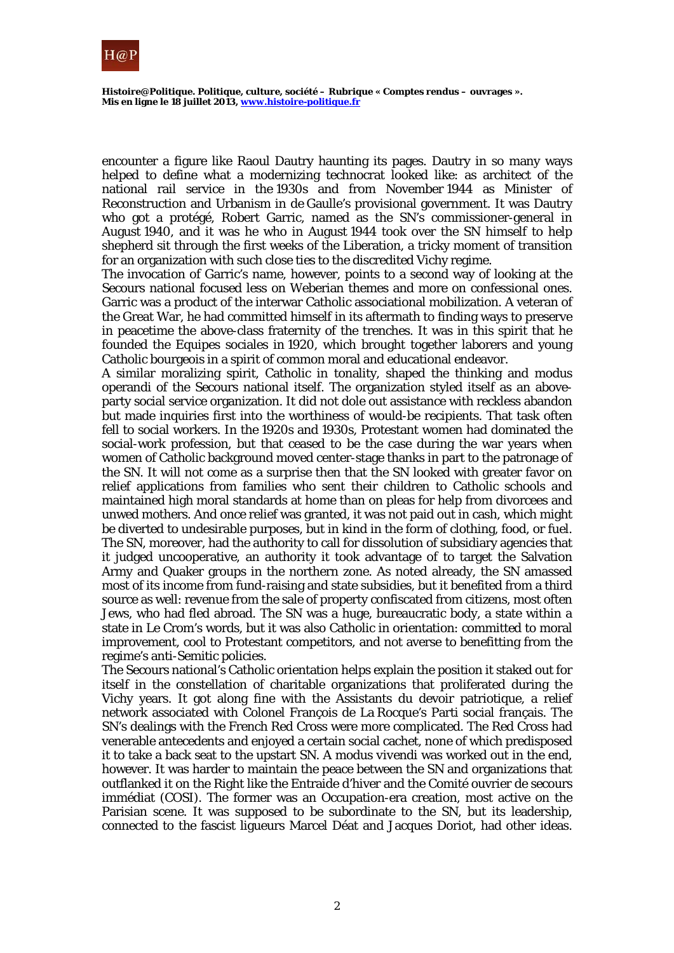

encounter a figure like Raoul Dautry haunting its pages. Dautry in so many ways helped to define what a modernizing technocrat looked like: as architect of the national rail service in the 1930s and from November 1944 as Minister of Reconstruction and Urbanism in de Gaulle's provisional government. It was Dautry who got a protégé, Robert Garric, named as the SN's commissioner-general in August 1940, and it was he who in August 1944 took over the SN himself to help shepherd sit through the first weeks of the Liberation, a tricky moment of transition for an organization with such close ties to the discredited Vichy regime.

The invocation of Garric's name, however, points to a second way of looking at the Secours national focused less on Weberian themes and more on confessional ones. Garric was a product of the interwar Catholic associational mobilization. A veteran of the Great War, he had committed himself in its aftermath to finding ways to preserve in peacetime the above-class fraternity of the trenches. It was in this spirit that he founded the Equipes sociales in 1920, which brought together laborers and young Catholic bourgeois in a spirit of common moral and educational endeavor.

A similar moralizing spirit, Catholic in tonality, shaped the thinking and modus operandi of the Secours national itself. The organization styled itself as an aboveparty social service organization. It did not dole out assistance with reckless abandon but made inquiries first into the worthiness of would-be recipients. That task often fell to social workers. In the 1920s and 1930s, Protestant women had dominated the social-work profession, but that ceased to be the case during the war years when women of Catholic background moved center-stage thanks in part to the patronage of the SN. It will not come as a surprise then that the SN looked with greater favor on relief applications from families who sent their children to Catholic schools and maintained high moral standards at home than on pleas for help from divorcees and unwed mothers. And once relief was granted, it was not paid out in cash, which might be diverted to undesirable purposes, but in kind in the form of clothing, food, or fuel. The SN, moreover, had the authority to call for dissolution of subsidiary agencies that it judged uncooperative, an authority it took advantage of to target the Salvation Army and Quaker groups in the northern zone. As noted already, the SN amassed most of its income from fund-raising and state subsidies, but it benefited from a third source as well: revenue from the sale of property confiscated from citizens, most often Jews, who had fled abroad. The SN was a huge, bureaucratic body, a state within a state in Le Crom's words, but it was also Catholic in orientation: committed to moral improvement, cool to Protestant competitors, and not averse to benefitting from the regime's anti-Semitic policies.

The Secours national's Catholic orientation helps explain the position it staked out for itself in the constellation of charitable organizations that proliferated during the Vichy years. It got along fine with the Assistants du devoir patriotique, a relief network associated with Colonel François de La Rocque's Parti social français. The SN's dealings with the French Red Cross were more complicated. The Red Cross had venerable antecedents and enjoyed a certain social cachet, none of which predisposed it to take a back seat to the upstart SN. A *modus vivendi* was worked out in the end, however. It was harder to maintain the peace between the SN and organizations that outflanked it on the Right like the Entraide d'hiver and the Comité ouvrier de secours immédiat (COSI). The former was an Occupation-era creation, most active on the Parisian scene. It was supposed to be subordinate to the SN, but its leadership, connected to the fascist ligueurs Marcel Déat and Jacques Doriot, had other ideas.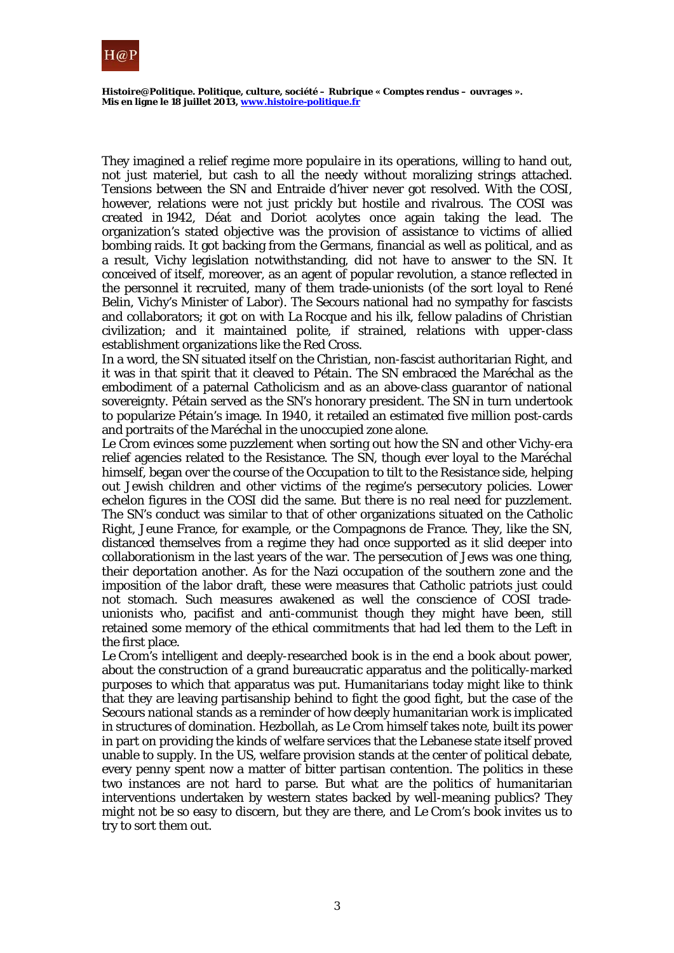

They imagined a relief regime more *populaire* in its operations, willing to hand out, not just materiel, but cash to all the needy without moralizing strings attached. Tensions between the SN and Entraide d'hiver never got resolved. With the COSI, however, relations were not just prickly but hostile and rivalrous. The COSI was created in 1942, Déat and Doriot acolytes once again taking the lead. The organization's stated objective was the provision of assistance to victims of allied bombing raids. It got backing from the Germans, financial as well as political, and as a result, Vichy legislation notwithstanding, did not have to answer to the SN. It conceived of itself, moreover, as an agent of popular revolution, a stance reflected in the personnel it recruited, many of them trade-unionists (of the sort loyal to René Belin, Vichy's Minister of Labor). The Secours national had no sympathy for fascists and collaborators; it got on with La Rocque and his ilk, fellow paladins of Christian civilization; and it maintained polite, if strained, relations with upper-class establishment organizations like the Red Cross.

In a word, the SN situated itself on the Christian, non-fascist authoritarian Right, and it was in that spirit that it cleaved to Pétain. The SN embraced the Maréchal as the embodiment of a paternal Catholicism and as an above-class guarantor of national sovereignty. Pétain served as the SN's honorary president. The SN in turn undertook to popularize Pétain's image. In 1940, it retailed an estimated five million post-cards and portraits of the Maréchal in the unoccupied zone alone.

Le Crom evinces some puzzlement when sorting out how the SN and other Vichy-era relief agencies related to the Resistance. The SN, though ever loyal to the Maréchal himself, began over the course of the Occupation to tilt to the Resistance side, helping out Jewish children and other victims of the regime's persecutory policies. Lower echelon figures in the COSI did the same. But there is no real need for puzzlement. The SN's conduct was similar to that of other organizations situated on the Catholic Right, Jeune France, for example, or the Compagnons de France. They, like the SN, distanced themselves from a regime they had once supported as it slid deeper into collaborationism in the last years of the war. The persecution of Jews was one thing, their deportation another. As for the Nazi occupation of the southern zone and the imposition of the labor draft, these were measures that Catholic patriots just could not stomach. Such measures awakened as well the conscience of COSI tradeunionists who, pacifist and anti-communist though they might have been, still retained some memory of the ethical commitments that had led them to the Left in the first place.

Le Crom's intelligent and deeply-researched book is in the end a book about power, about the construction of a grand bureaucratic apparatus and the politically-marked purposes to which that apparatus was put. Humanitarians today might like to think that they are leaving partisanship behind to fight the good fight, but the case of the Secours national stands as a reminder of how deeply humanitarian work is implicated in structures of domination. Hezbollah, as Le Crom himself takes note, built its power in part on providing the kinds of welfare services that the Lebanese state itself proved unable to supply. In the US, welfare provision stands at the center of political debate, every penny spent now a matter of bitter partisan contention. The politics in these two instances are not hard to parse. But what are the politics of humanitarian interventions undertaken by western states backed by well-meaning publics? They might not be so easy to discern, but they are there, and Le Crom's book invites us to try to sort them out.